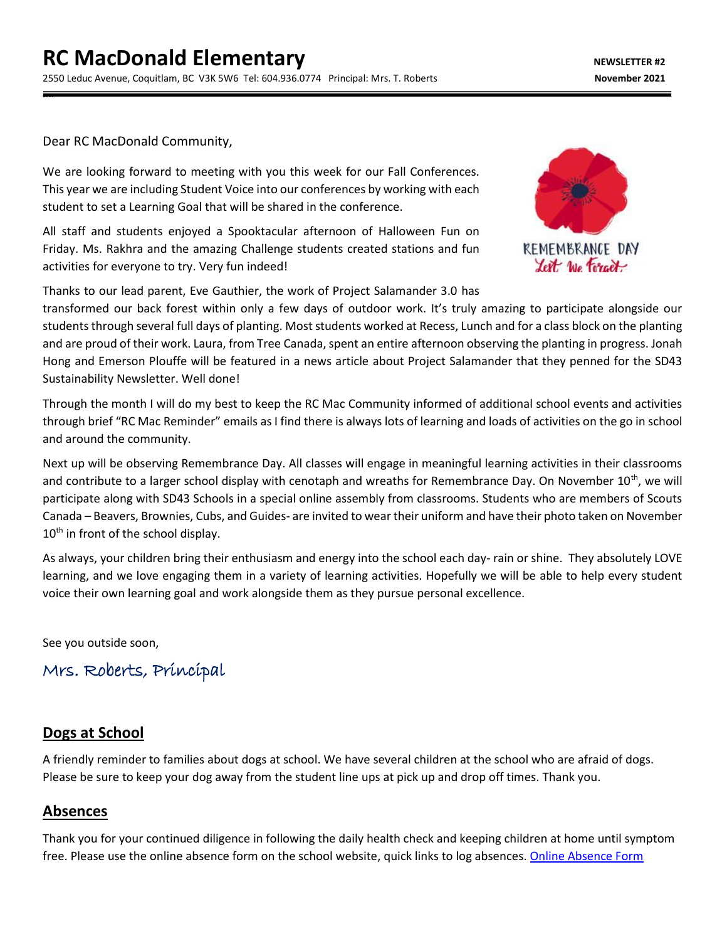Dear RC MacDonald Community,

dear

We are looking forward to meeting with you this week for our Fall Conferences. This year we are including Student Voice into our conferences by working with each student to set a Learning Goal that will be shared in the conference.

All staff and students enjoyed a Spooktacular afternoon of Halloween Fun on Friday. Ms. Rakhra and the amazing Challenge students created stations and fun activities for everyone to try. Very fun indeed!

Thanks to our lead parent, Eve Gauthier, the work of Project Salamander 3.0 has



transformed our back forest within only a few days of outdoor work. It's truly amazing to participate alongside our students through several full days of planting. Most students worked at Recess, Lunch and for a class block on the planting and are proud of their work. Laura, from Tree Canada, spent an entire afternoon observing the planting in progress. Jonah Hong and Emerson Plouffe will be featured in a news article about Project Salamander that they penned for the SD43 Sustainability Newsletter. Well done!

Through the month I will do my best to keep the RC Mac Community informed of additional school events and activities through brief "RC Mac Reminder" emails as I find there is always lots of learning and loads of activities on the go in school and around the community.

Next up will be observing Remembrance Day. All classes will engage in meaningful learning activities in their classrooms and contribute to a larger school display with cenotaph and wreaths for Remembrance Day. On November  $10^{th}$ , we will participate along with SD43 Schools in a special online assembly from classrooms. Students who are members of Scouts Canada – Beavers, Brownies, Cubs, and Guides- are invited to wear their uniform and have their photo taken on November 10<sup>th</sup> in front of the school display.

As always, your children bring their enthusiasm and energy into the school each day- rain or shine. They absolutely LOVE learning, and we love engaging them in a variety of learning activities. Hopefully we will be able to help every student voice their own learning goal and work alongside them as they pursue personal excellence.

See you outside soon,

# Mrs. Roberts, Principal

### **Dogs at School**

A friendly reminder to families about dogs at school. We have several children at the school who are afraid of dogs. Please be sure to keep your dog away from the student line ups at pick up and drop off times. Thank you.

### **Absences**

Thank you for your continued diligence in following the daily health check and keeping children at home until symptom free. Please use the online absence form on the school website, quick links to log absences. [Online Absence Form](https://www2016.sd43.bc.ca/eforms/_layouts/15/FormServer.aspx?XsnLocation=http://www2016.sd43.bc.ca/eforms/AbsenceReportForm/Forms/template.xsn&OpenIn=browser&SaveLocation=http://www2016.sd43.bc.ca/eforms/AbsenceReportForm&Source=http://www2016.sd43.bc.ca/eforms/AbsenceReportForm)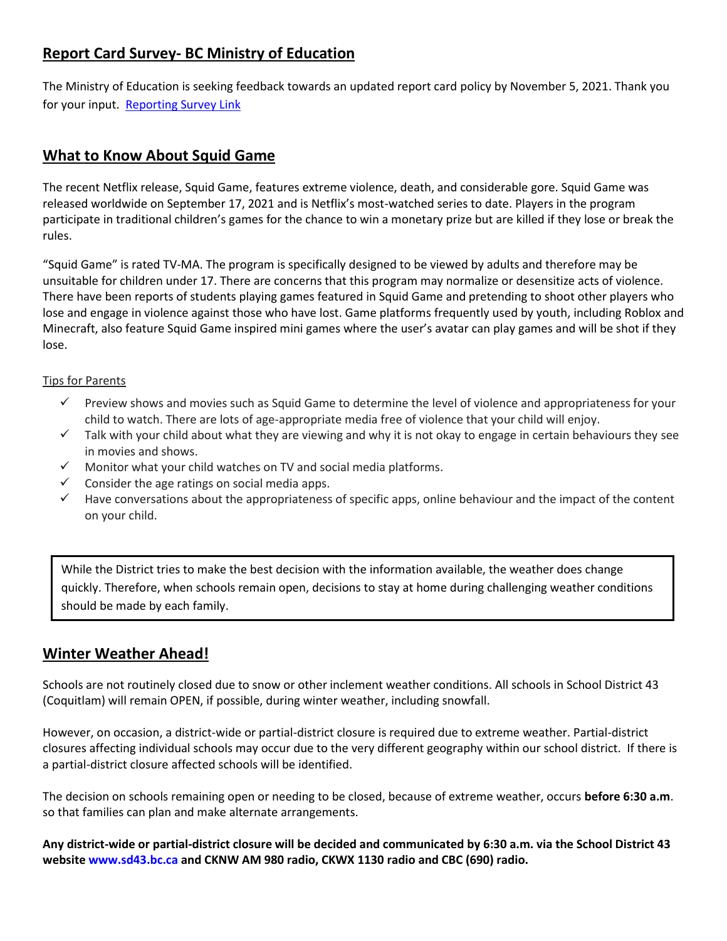# **Report Card Survey- BC Ministry of Education**

The Ministry of Education is seeking feedback towards an updated report card policy by November 5, 2021. Thank you for your input. [Reporting Survey Link](https://engage.gov.bc.ca/govtogetherbc/consultation/studentreporting/)

## **What to Know About Squid Game**

The recent Netflix release, Squid Game, features extreme violence, death, and considerable gore. Squid Game was released worldwide on September 17, 2021 and is Netflix's most-watched series to date. Players in the program participate in traditional children's games for the chance to win a monetary prize but are killed if they lose or break the rules.

"Squid Game" is rated TV-MA. The program is specifically designed to be viewed by adults and therefore may be unsuitable for children under 17. There are concerns that this program may normalize or desensitize acts of violence. There have been reports of students playing games featured in Squid Game and pretending to shoot other players who lose and engage in violence against those who have lost. Game platforms frequently used by youth, including Roblox and Minecraft, also feature Squid Game inspired mini games where the user's avatar can play games and will be shot if they lose.

#### Tips for Parents

- ✓ Preview shows and movies such as Squid Game to determine the level of violence and appropriateness for your child to watch. There are lots of age-appropriate media free of violence that your child will enjoy.
- $\checkmark$  Talk with your child about what they are viewing and why it is not okay to engage in certain behaviours they see in movies and shows.
- $\checkmark$  Monitor what your child watches on TV and social media platforms.
- $\checkmark$  Consider the age ratings on social media apps.
- $\checkmark$  Have conversations about the appropriateness of specific apps, online behaviour and the impact of the content on your child.

While the District tries to make the best decision with the information available, the weather does change quickly. Therefore, when schools remain open, decisions to stay at home during challenging weather conditions should be made by each family.

### **Winter Weather Ahead!**

Schools are not routinely closed due to snow or other inclement weather conditions. All schools in School District 43 (Coquitlam) will remain OPEN, if possible, during winter weather, including snowfall.

However, on occasion, a district-wide or partial-district closure is required due to extreme weather. Partial-district closures affecting individual schools may occur due to the very different geography within our school district. If there is a partial-district closure affected schools will be identified.

The decision on schools remaining open or needing to be closed, because of extreme weather, occurs **before 6:30 a.m**. so that families can plan and make alternate arrangements.

**Any district-wide or partial-district closure will be decided and communicated by 6:30 a.m. via the School District 43 website www.sd43.bc.ca and CKNW AM 980 radio, CKWX 1130 radio and CBC (690) radio.**